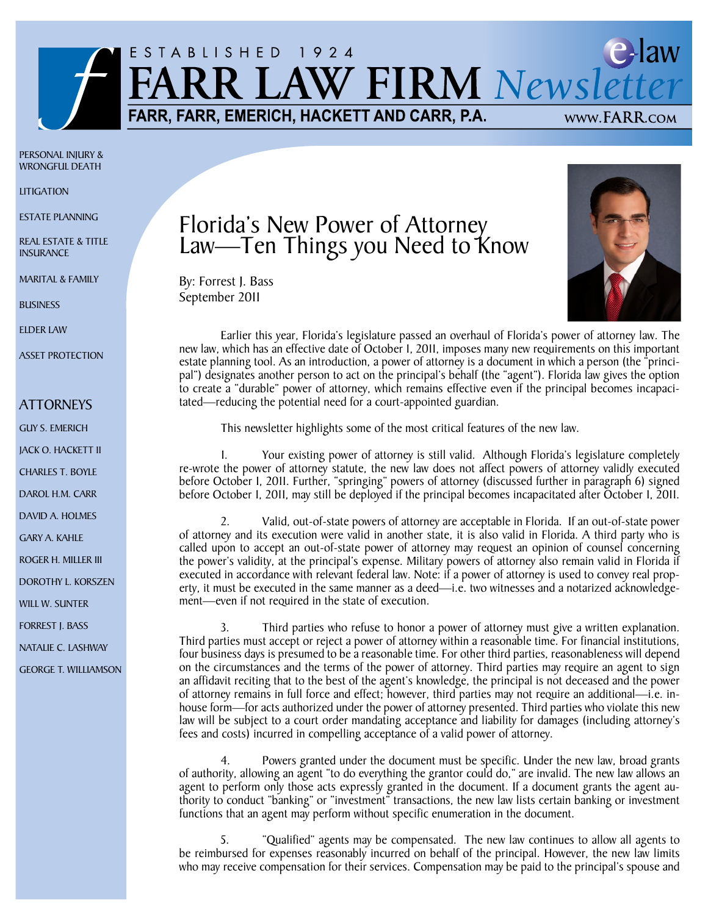

Personal Injury & Wrongful Death

**LITIGATION** 

ESTATE PLANNING

Real Estate & Title **INSURANCE** 

Marital & Family

**BUSINESS** 

Elder Law

Asset Protection

## ATTORNEYS

GUY S. EMERICH

JACK O. HACKETT II

CHARLES T. BOYLE

DAROL H.M. CARR

DAVID A. HOLMES

GARY A. KAHLE

ROGER H. MILLER III

DOROTHY L. KORSZEN

will w. sunter

Forrest J. Bass

Natalie C. Lashway

george t. williamson

## Florida's New Power of Attorney Law—Ten Things you Need to Know

By: Forrest J. Bass September 2011



Earlier this year, Florida's legislature passed an overhaul of Florida's power of attorney law. The new law, which has an effective date of October 1, 2011, imposes many new requirements on this important estate planning tool. As an introduction, a power of attorney is a document in which a person (the "principal") designates another person to act on the principal's behalf (the "agent"). Florida law gives the option to create a "durable" power of attorney, which remains effective even if the principal becomes incapacitated—reducing the potential need for a court-appointed guardian.

This newsletter highlights some of the most critical features of the new law.

1. Your existing power of attorney is still valid. Although Florida's legislature completely re-wrote the power of attorney statute, the new law does not affect powers of attorney validly executed before October 1, 2011. Further, "springing" powers of attorney (discussed further in paragraph 6) signed before October 1, 2011, may still be deployed if the principal becomes incapacitated after October 1, 2011.

2. Valid, out-of-state powers of attorney are acceptable in Florida. If an out-of-state power of attorney and its execution were valid in another state, it is also valid in Florida. A third party who is called upon to accept an out-of-state power of attorney may request an opinion of counsel concerning the power's validity, at the principal's expense. Military powers of attorney also remain valid in Florida if executed in accordance with relevant federal law. Note: if a power of attorney is used to convey real property, it must be executed in the same manner as a deed—i.e. two witnesses and a notarized acknowledgement—even if not required in the state of execution.

Third parties who refuse to honor a power of attorney must give a written explanation. Third parties must accept or reject a power of attorney within a reasonable time. For financial institutions, four business days is presumed to be a reasonable time. For other third parties, reasonableness will depend on the circumstances and the terms of the power of attorney. Third parties may require an agent to sign an affidavit reciting that to the best of the agent's knowledge, the principal is not deceased and the power of attorney remains in full force and effect; however, third parties may not require an additional—i.e. inhouse form—for acts authorized under the power of attorney presented. Third parties who violate this new law will be subject to a court order mandating acceptance and liability for damages (including attorney's fees and costs) incurred in compelling acceptance of a valid power of attorney.

4. Powers granted under the document must be specific. Under the new law, broad grants of authority, allowing an agent "to do everything the grantor could do," are invalid. The new law allows an agent to perform only those acts expressly granted in the document. If a document grants the agent authority to conduct "banking" or "investment" transactions, the new law lists certain banking or investment functions that an agent may perform without specific enumeration in the document.

5. "Qualified" agents may be compensated. The new law continues to allow all agents to be reimbursed for expenses reasonably incurred on behalf of the principal. However, the new law limits who may receive compensation for their services. Compensation may be paid to the principal's spouse and